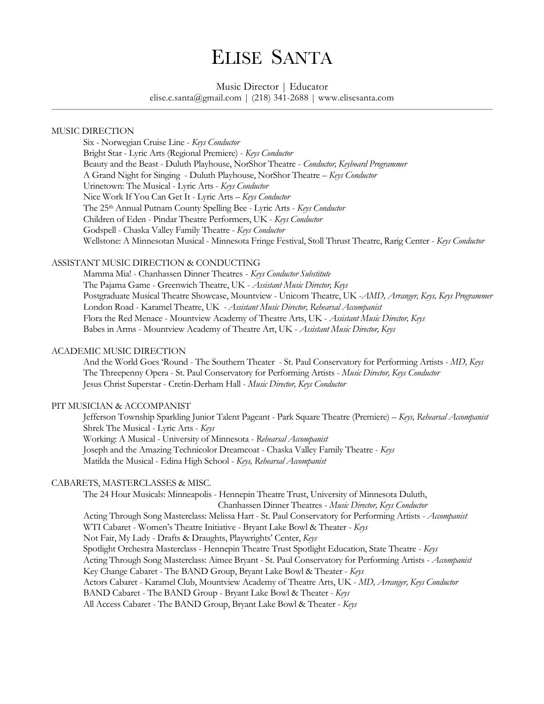## ELISE SANTA

## Music Director | Educator

elise.c.santa@gmail.com | (218) 341-2688 | www.elisesanta.com

#### MUSIC DIRECTION

Six - Norwegian Cruise Line - *Keys Conductor* Bright Star - Lyric Arts (Regional Premiere) - *Keys Conductor* Beauty and the Beast - Duluth Playhouse, NorShor Theatre - *Conductor, Keyboard Programmer* A Grand Night for Singing - Duluth Playhouse, NorShor Theatre – *Keys Conductor* Urinetown: The Musical - Lyric Arts - *Keys Conductor* Nice Work If You Can Get It - Lyric Arts – *Keys Conductor* The 25th Annual Putnam County Spelling Bee - Lyric Arts - *Keys Conductor* Children of Eden - Pindar Theatre Performers, UK - *Keys Conductor* Godspell - Chaska Valley Family Theatre - *Keys Conductor* Wellstone: A Minnesotan Musical - Minnesota Fringe Festival, Stoll Thrust Theatre, Rarig Center - *Keys Conductor*

## ASSISTANT MUSIC DIRECTION & CONDUCTING

Mamma Mia! - Chanhassen Dinner Theatres - *Keys Conductor Substitute* The Pajama Game - Greenwich Theatre, UK - *Assistant Music Director, Keys* Postgraduate Musical Theatre Showcase, Mountview - Unicorn Theatre, UK -*AMD, Arranger, Keys, Keys Programmer* London Road - Karamel Theatre, UK *- Assistant Music Director, Rehearsal Accompanist* Flora the Red Menace - Mountview Academy of Theatre Arts, UK - *Assistant Music Director, Keys* Babes in Arms - Mountview Academy of Theatre Art, UK - *Assistant Music Director, Keys*

#### ACADEMIC MUSIC DIRECTION

And the World Goes 'Round - The Southern Theater - St. Paul Conservatory for Performing Artists - *MD, Keys* The Threepenny Opera - St. Paul Conservatory for Performing Artists - *Music Director, Keys Conductor* Jesus Christ Superstar - Cretin-Derham Hall - *Music Director, Keys Conductor*

#### PIT MUSICIAN & ACCOMPANIST

Jefferson Township Sparkling Junior Talent Pageant - Park Square Theatre (Premiere) – *Keys, Rehearsal Accompanist* Shrek The Musical - Lyric Arts - *Keys* Working: A Musical - University of Minnesota - *Rehearsal Accompanist* Joseph and the Amazing Technicolor Dreamcoat - Chaska Valley Family Theatre - *Keys* Matilda the Musical - Edina High School - *Keys, Rehearsal Accompanist*

#### CABARETS, MASTERCLASSES & MISC.

The 24 Hour Musicals: Minneapolis - Hennepin Theatre Trust, University of Minnesota Duluth, Chanhassen Dinner Theatres - *Music Director, Keys Conductor* Acting Through Song Masterclass: Melissa Hart - St. Paul Conservatory for Performing Artists - *Accompanist* WTI Cabaret - Women's Theatre Initiative - Bryant Lake Bowl & Theater - *Keys* Not Fair, My Lady - Drafts & Draughts, Playwrights' Center, *Keys* Spotlight Orchestra Masterclass - Hennepin Theatre Trust Spotlight Education, State Theatre - *Keys* Acting Through Song Masterclass: Aimee Bryant - St. Paul Conservatory for Performing Artists - *Accompanist* Key Change Cabaret - The BAND Group, Bryant Lake Bowl & Theater - *Keys* Actors Cabaret - Karamel Club, Mountview Academy of Theatre Arts, UK - *MD, Arranger, Keys Conductor* BAND Cabaret - The BAND Group - Bryant Lake Bowl & Theater - *Keys* All Access Cabaret - The BAND Group, Bryant Lake Bowl & Theater - *Keys*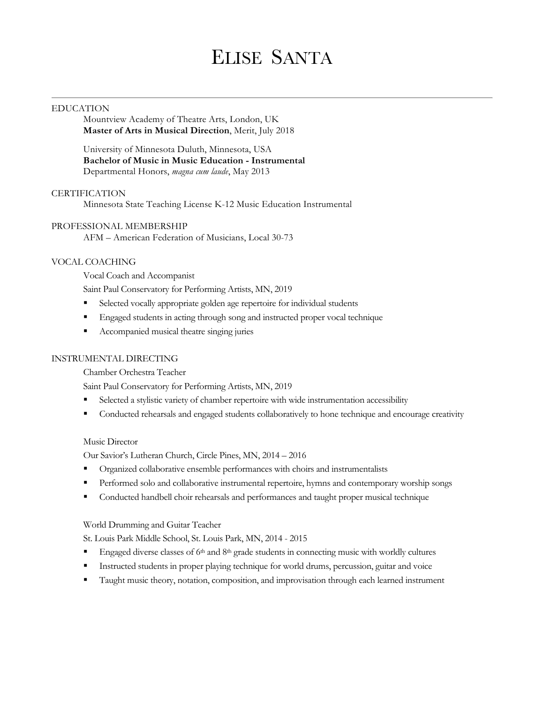# ELISE SANTA

#### EDUCATION

Mountview Academy of Theatre Arts, London, UK **Master of Arts in Musical Direction**, Merit, July 2018

University of Minnesota Duluth, Minnesota, USA **Bachelor of Music in Music Education - Instrumental**  Departmental Honors, *magna cum laude*, May 2013

#### **CERTIFICATION**

Minnesota State Teaching License K-12 Music Education Instrumental

#### PROFESSIONAL MEMBERSHIP

AFM – American Federation of Musicians, Local 30-73

#### VOCAL COACHING

Vocal Coach and Accompanist

Saint Paul Conservatory for Performing Artists, MN, 2019

- ! Selected vocally appropriate golden age repertoire for individual students
- ! Engaged students in acting through song and instructed proper vocal technique
- ! Accompanied musical theatre singing juries

#### INSTRUMENTAL DIRECTING

Chamber Orchestra Teacher

Saint Paul Conservatory for Performing Artists, MN, 2019

- ! Selected a stylistic variety of chamber repertoire with wide instrumentation accessibility
- ! Conducted rehearsals and engaged students collaboratively to hone technique and encourage creativity

#### Music Director

Our Savior's Lutheran Church, Circle Pines, MN, 2014 – 2016

- ! Organized collaborative ensemble performances with choirs and instrumentalists
- ! Performed solo and collaborative instrumental repertoire, hymns and contemporary worship songs
- ! Conducted handbell choir rehearsals and performances and taught proper musical technique

#### World Drumming and Guitar Teacher

St. Louis Park Middle School, St. Louis Park, MN, 2014 - 2015

- **Engaged diverse classes of 6th and 8th grade students in connecting music with worldly cultures**
- ! Instructed students in proper playing technique for world drums, percussion, guitar and voice
- ! Taught music theory, notation, composition, and improvisation through each learned instrument